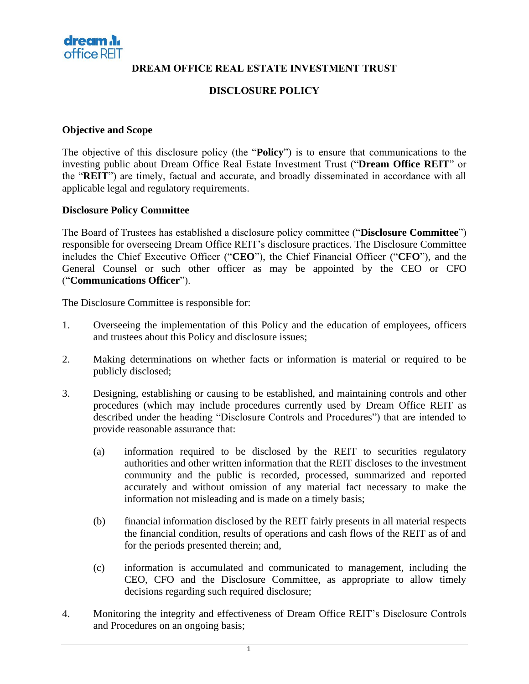

**DREAM OFFICE REAL ESTATE INVESTMENT TRUST**

### **DISCLOSURE POLICY**

#### **Objective and Scope**

The objective of this disclosure policy (the "**Policy**") is to ensure that communications to the investing public about Dream Office Real Estate Investment Trust ("**Dream Office REIT**" or the "**REIT**") are timely, factual and accurate, and broadly disseminated in accordance with all applicable legal and regulatory requirements.

#### **Disclosure Policy Committee**

The Board of Trustees has established a disclosure policy committee ("**Disclosure Committee**") responsible for overseeing Dream Office REIT's disclosure practices. The Disclosure Committee includes the Chief Executive Officer ("**CEO**"), the Chief Financial Officer ("**CFO**"), and the General Counsel or such other officer as may be appointed by the CEO or CFO ("**Communications Officer**").

The Disclosure Committee is responsible for:

- 1. Overseeing the implementation of this Policy and the education of employees, officers and trustees about this Policy and disclosure issues;
- 2. Making determinations on whether facts or information is material or required to be publicly disclosed;
- 3. Designing, establishing or causing to be established, and maintaining controls and other procedures (which may include procedures currently used by Dream Office REIT as described under the heading "Disclosure Controls and Procedures") that are intended to provide reasonable assurance that:
	- (a) information required to be disclosed by the REIT to securities regulatory authorities and other written information that the REIT discloses to the investment community and the public is recorded, processed, summarized and reported accurately and without omission of any material fact necessary to make the information not misleading and is made on a timely basis;
	- (b) financial information disclosed by the REIT fairly presents in all material respects the financial condition, results of operations and cash flows of the REIT as of and for the periods presented therein; and,
	- (c) information is accumulated and communicated to management, including the CEO, CFO and the Disclosure Committee, as appropriate to allow timely decisions regarding such required disclosure;
- 4. Monitoring the integrity and effectiveness of Dream Office REIT's Disclosure Controls and Procedures on an ongoing basis;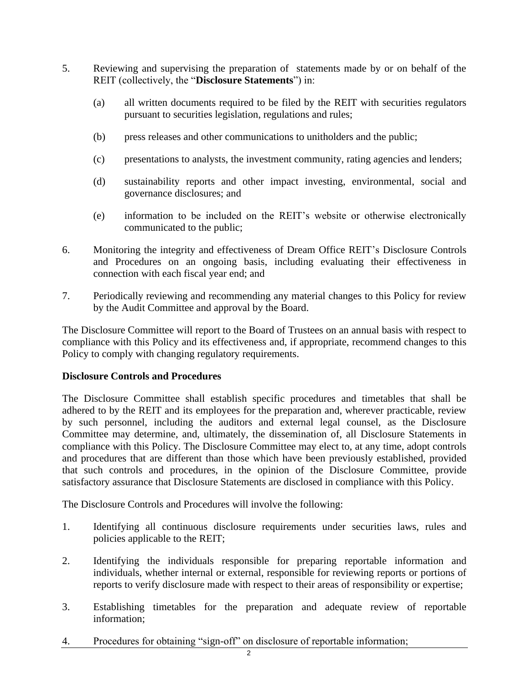- 5. Reviewing and supervising the preparation of statements made by or on behalf of the REIT (collectively, the "**Disclosure Statements**") in:
	- (a) all written documents required to be filed by the REIT with securities regulators pursuant to securities legislation, regulations and rules;
	- (b) press releases and other communications to unitholders and the public;
	- (c) presentations to analysts, the investment community, rating agencies and lenders;
	- (d) sustainability reports and other impact investing, environmental, social and governance disclosures; and
	- (e) information to be included on the REIT's website or otherwise electronically communicated to the public;
- 6. Monitoring the integrity and effectiveness of Dream Office REIT's Disclosure Controls and Procedures on an ongoing basis, including evaluating their effectiveness in connection with each fiscal year end; and
- 7. Periodically reviewing and recommending any material changes to this Policy for review by the Audit Committee and approval by the Board.

The Disclosure Committee will report to the Board of Trustees on an annual basis with respect to compliance with this Policy and its effectiveness and, if appropriate, recommend changes to this Policy to comply with changing regulatory requirements.

#### **Disclosure Controls and Procedures**

The Disclosure Committee shall establish specific procedures and timetables that shall be adhered to by the REIT and its employees for the preparation and, wherever practicable, review by such personnel, including the auditors and external legal counsel, as the Disclosure Committee may determine, and, ultimately, the dissemination of, all Disclosure Statements in compliance with this Policy. The Disclosure Committee may elect to, at any time, adopt controls and procedures that are different than those which have been previously established, provided that such controls and procedures, in the opinion of the Disclosure Committee, provide satisfactory assurance that Disclosure Statements are disclosed in compliance with this Policy.

The Disclosure Controls and Procedures will involve the following:

- 1. Identifying all continuous disclosure requirements under securities laws, rules and policies applicable to the REIT;
- 2. Identifying the individuals responsible for preparing reportable information and individuals, whether internal or external, responsible for reviewing reports or portions of reports to verify disclosure made with respect to their areas of responsibility or expertise;
- 3. Establishing timetables for the preparation and adequate review of reportable information;
- 4. Procedures for obtaining "sign-off" on disclosure of reportable information;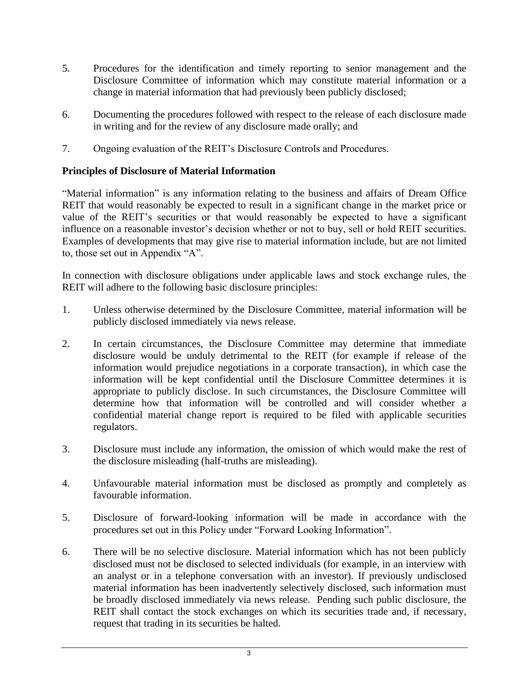- 5. Procedures for the identification and timely reporting to senior management and the Disclosure Committee of information which may constitute material information or a change in material information that had previously been publicly disclosed;
- 6. Documenting the procedures followed with respect to the release of each disclosure made in writing and for the review of any disclosure made orally; and
- 7. Ongoing evaluation of the REIT's Disclosure Controls and Procedures.

### **Principles of Disclosure of Material Information**

"Material information" is any information relating to the business and affairs of Dream Office REIT that would reasonably be expected to result in a significant change in the market price or value of the REIT's securities or that would reasonably be expected to have a significant influence on a reasonable investor's decision whether or not to buy, sell or hold REIT securities. Examples of developments that may give rise to material information include, but are not limited to, those set out in Appendix "A".

In connection with disclosure obligations under applicable laws and stock exchange rules, the REIT will adhere to the following basic disclosure principles:

- 1. Unless otherwise determined by the Disclosure Committee, material information will be publicly disclosed immediately via news release.
- 2. In certain circumstances, the Disclosure Committee may determine that immediate disclosure would be unduly detrimental to the REIT (for example if release of the information would prejudice negotiations in a corporate transaction), in which case the information will be kept confidential until the Disclosure Committee determines it is appropriate to publicly disclose. In such circumstances, the Disclosure Committee will determine how that information will be controlled and will consider whether a confidential material change report is required to be filed with applicable securities regulators.
- 3. Disclosure must include any information, the omission of which would make the rest of the disclosure misleading (half-truths are misleading).
- 4. Unfavourable material information must be disclosed as promptly and completely as favourable information.
- 5. Disclosure of forward-looking information will be made in accordance with the procedures set out in this Policy under "Forward Looking Information".
- 6. There will be no selective disclosure. Material information which has not been publicly disclosed must not be disclosed to selected individuals (for example, in an interview with an analyst or in a telephone conversation with an investor). If previously undisclosed material information has been inadvertently selectively disclosed, such information must be broadly disclosed immediately via news release. Pending such public disclosure, the REIT shall contact the stock exchanges on which its securities trade and, if necessary, request that trading in its securities be halted.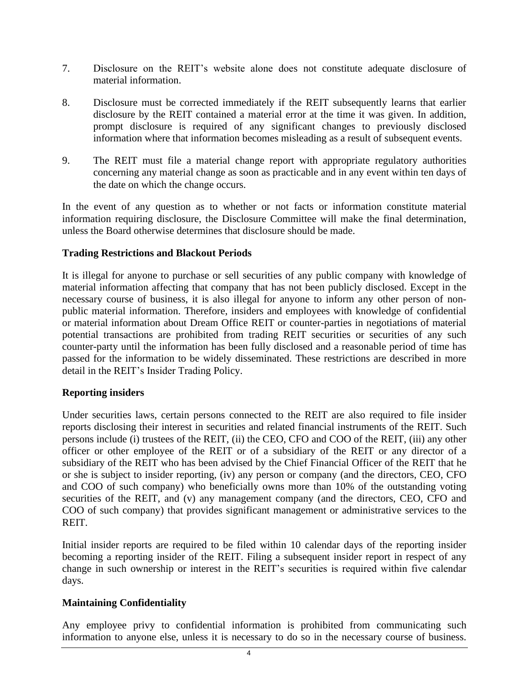- 7. Disclosure on the REIT's website alone does not constitute adequate disclosure of material information.
- 8. Disclosure must be corrected immediately if the REIT subsequently learns that earlier disclosure by the REIT contained a material error at the time it was given. In addition, prompt disclosure is required of any significant changes to previously disclosed information where that information becomes misleading as a result of subsequent events.
- 9. The REIT must file a material change report with appropriate regulatory authorities concerning any material change as soon as practicable and in any event within ten days of the date on which the change occurs.

In the event of any question as to whether or not facts or information constitute material information requiring disclosure, the Disclosure Committee will make the final determination, unless the Board otherwise determines that disclosure should be made.

#### **Trading Restrictions and Blackout Periods**

It is illegal for anyone to purchase or sell securities of any public company with knowledge of material information affecting that company that has not been publicly disclosed. Except in the necessary course of business, it is also illegal for anyone to inform any other person of nonpublic material information. Therefore, insiders and employees with knowledge of confidential or material information about Dream Office REIT or counter-parties in negotiations of material potential transactions are prohibited from trading REIT securities or securities of any such counter-party until the information has been fully disclosed and a reasonable period of time has passed for the information to be widely disseminated. These restrictions are described in more detail in the REIT's Insider Trading Policy.

#### **Reporting insiders**

Under securities laws, certain persons connected to the REIT are also required to file insider reports disclosing their interest in securities and related financial instruments of the REIT. Such persons include (i) trustees of the REIT, (ii) the CEO, CFO and COO of the REIT, (iii) any other officer or other employee of the REIT or of a subsidiary of the REIT or any director of a subsidiary of the REIT who has been advised by the Chief Financial Officer of the REIT that he or she is subject to insider reporting, (iv) any person or company (and the directors, CEO, CFO and COO of such company) who beneficially owns more than 10% of the outstanding voting securities of the REIT, and (v) any management company (and the directors, CEO, CFO and COO of such company) that provides significant management or administrative services to the REIT.

Initial insider reports are required to be filed within 10 calendar days of the reporting insider becoming a reporting insider of the REIT. Filing a subsequent insider report in respect of any change in such ownership or interest in the REIT's securities is required within five calendar days.

#### **Maintaining Confidentiality**

Any employee privy to confidential information is prohibited from communicating such information to anyone else, unless it is necessary to do so in the necessary course of business.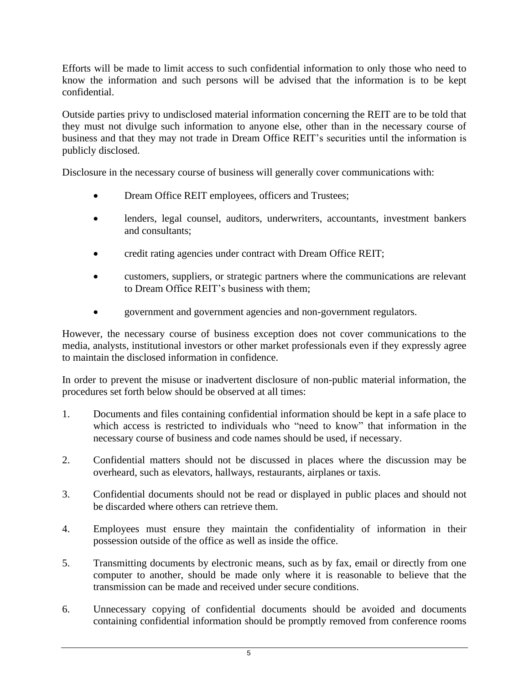Efforts will be made to limit access to such confidential information to only those who need to know the information and such persons will be advised that the information is to be kept confidential.

Outside parties privy to undisclosed material information concerning the REIT are to be told that they must not divulge such information to anyone else, other than in the necessary course of business and that they may not trade in Dream Office REIT's securities until the information is publicly disclosed.

Disclosure in the necessary course of business will generally cover communications with:

- Dream Office REIT employees, officers and Trustees;
- lenders, legal counsel, auditors, underwriters, accountants, investment bankers and consultants;
- credit rating agencies under contract with Dream Office REIT;
- customers, suppliers, or strategic partners where the communications are relevant to Dream Office REIT's business with them;
- government and government agencies and non-government regulators.

However, the necessary course of business exception does not cover communications to the media, analysts, institutional investors or other market professionals even if they expressly agree to maintain the disclosed information in confidence.

In order to prevent the misuse or inadvertent disclosure of non-public material information, the procedures set forth below should be observed at all times:

- 1. Documents and files containing confidential information should be kept in a safe place to which access is restricted to individuals who "need to know" that information in the necessary course of business and code names should be used, if necessary.
- 2. Confidential matters should not be discussed in places where the discussion may be overheard, such as elevators, hallways, restaurants, airplanes or taxis.
- 3. Confidential documents should not be read or displayed in public places and should not be discarded where others can retrieve them.
- 4. Employees must ensure they maintain the confidentiality of information in their possession outside of the office as well as inside the office.
- 5. Transmitting documents by electronic means, such as by fax, email or directly from one computer to another, should be made only where it is reasonable to believe that the transmission can be made and received under secure conditions.
- 6. Unnecessary copying of confidential documents should be avoided and documents containing confidential information should be promptly removed from conference rooms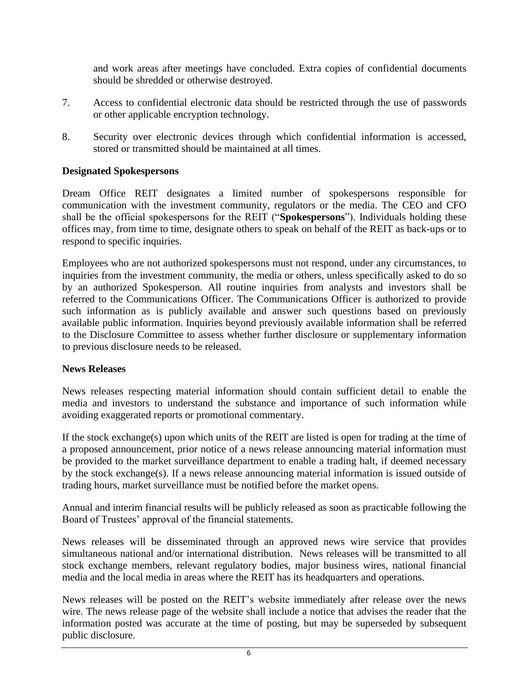and work areas after meetings have concluded. Extra copies of confidential documents should be shredded or otherwise destroyed.

- 7. Access to confidential electronic data should be restricted through the use of passwords or other applicable encryption technology.
- 8. Security over electronic devices through which confidential information is accessed, stored or transmitted should be maintained at all times.

### **Designated Spokespersons**

Dream Office REIT designates a limited number of spokespersons responsible for communication with the investment community, regulators or the media. The CEO and CFO shall be the official spokespersons for the REIT ("**Spokespersons**"). Individuals holding these offices may, from time to time, designate others to speak on behalf of the REIT as back-ups or to respond to specific inquiries.

Employees who are not authorized spokespersons must not respond, under any circumstances, to inquiries from the investment community, the media or others, unless specifically asked to do so by an authorized Spokesperson. All routine inquiries from analysts and investors shall be referred to the Communications Officer. The Communications Officer is authorized to provide such information as is publicly available and answer such questions based on previously available public information. Inquiries beyond previously available information shall be referred to the Disclosure Committee to assess whether further disclosure or supplementary information to previous disclosure needs to be released.

#### **News Releases**

News releases respecting material information should contain sufficient detail to enable the media and investors to understand the substance and importance of such information while avoiding exaggerated reports or promotional commentary.

If the stock exchange(s) upon which units of the REIT are listed is open for trading at the time of a proposed announcement, prior notice of a news release announcing material information must be provided to the market surveillance department to enable a trading halt, if deemed necessary by the stock exchange(s). If a news release announcing material information is issued outside of trading hours, market surveillance must be notified before the market opens.

Annual and interim financial results will be publicly released as soon as practicable following the Board of Trustees' approval of the financial statements.

News releases will be disseminated through an approved news wire service that provides simultaneous national and/or international distribution. News releases will be transmitted to all stock exchange members, relevant regulatory bodies, major business wires, national financial media and the local media in areas where the REIT has its headquarters and operations.

News releases will be posted on the REIT's website immediately after release over the news wire. The news release page of the website shall include a notice that advises the reader that the information posted was accurate at the time of posting, but may be superseded by subsequent public disclosure.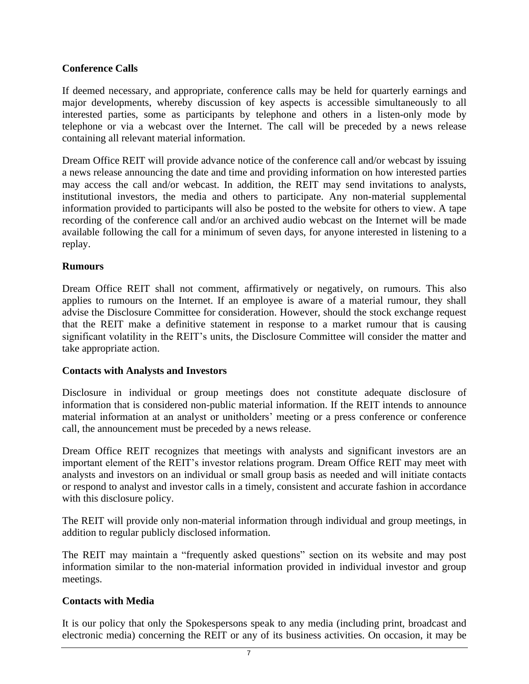### **Conference Calls**

If deemed necessary, and appropriate, conference calls may be held for quarterly earnings and major developments, whereby discussion of key aspects is accessible simultaneously to all interested parties, some as participants by telephone and others in a listen-only mode by telephone or via a webcast over the Internet. The call will be preceded by a news release containing all relevant material information.

Dream Office REIT will provide advance notice of the conference call and/or webcast by issuing a news release announcing the date and time and providing information on how interested parties may access the call and/or webcast. In addition, the REIT may send invitations to analysts, institutional investors, the media and others to participate. Any non-material supplemental information provided to participants will also be posted to the website for others to view. A tape recording of the conference call and/or an archived audio webcast on the Internet will be made available following the call for a minimum of seven days, for anyone interested in listening to a replay.

#### **Rumours**

Dream Office REIT shall not comment, affirmatively or negatively, on rumours. This also applies to rumours on the Internet. If an employee is aware of a material rumour, they shall advise the Disclosure Committee for consideration. However, should the stock exchange request that the REIT make a definitive statement in response to a market rumour that is causing significant volatility in the REIT's units, the Disclosure Committee will consider the matter and take appropriate action.

### **Contacts with Analysts and Investors**

Disclosure in individual or group meetings does not constitute adequate disclosure of information that is considered non-public material information. If the REIT intends to announce material information at an analyst or unitholders' meeting or a press conference or conference call, the announcement must be preceded by a news release.

Dream Office REIT recognizes that meetings with analysts and significant investors are an important element of the REIT's investor relations program. Dream Office REIT may meet with analysts and investors on an individual or small group basis as needed and will initiate contacts or respond to analyst and investor calls in a timely, consistent and accurate fashion in accordance with this disclosure policy.

The REIT will provide only non-material information through individual and group meetings, in addition to regular publicly disclosed information.

The REIT may maintain a "frequently asked questions" section on its website and may post information similar to the non-material information provided in individual investor and group meetings.

#### **Contacts with Media**

It is our policy that only the Spokespersons speak to any media (including print, broadcast and electronic media) concerning the REIT or any of its business activities. On occasion, it may be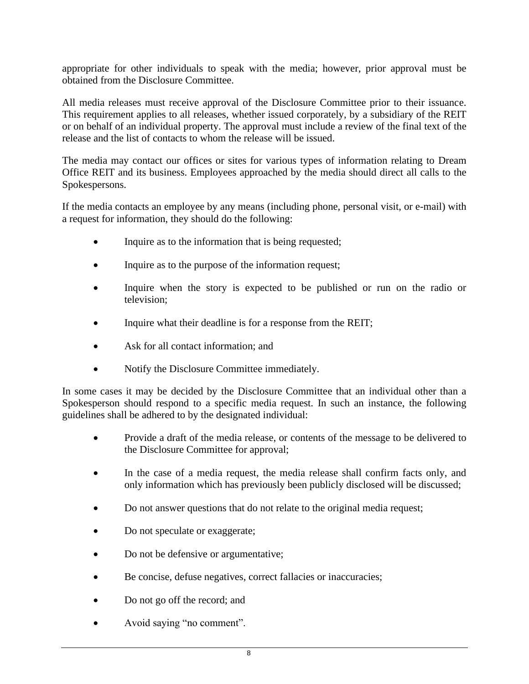appropriate for other individuals to speak with the media; however, prior approval must be obtained from the Disclosure Committee.

All media releases must receive approval of the Disclosure Committee prior to their issuance. This requirement applies to all releases, whether issued corporately, by a subsidiary of the REIT or on behalf of an individual property. The approval must include a review of the final text of the release and the list of contacts to whom the release will be issued.

The media may contact our offices or sites for various types of information relating to Dream Office REIT and its business. Employees approached by the media should direct all calls to the Spokespersons.

If the media contacts an employee by any means (including phone, personal visit, or e-mail) with a request for information, they should do the following:

- Inquire as to the information that is being requested;
- Inquire as to the purpose of the information request;
- Inquire when the story is expected to be published or run on the radio or television;
- Inquire what their deadline is for a response from the REIT;
- Ask for all contact information: and
- Notify the Disclosure Committee immediately.

In some cases it may be decided by the Disclosure Committee that an individual other than a Spokesperson should respond to a specific media request. In such an instance, the following guidelines shall be adhered to by the designated individual:

- Provide a draft of the media release, or contents of the message to be delivered to the Disclosure Committee for approval;
- In the case of a media request, the media release shall confirm facts only, and only information which has previously been publicly disclosed will be discussed;
- Do not answer questions that do not relate to the original media request;
- Do not speculate or exaggerate;
- Do not be defensive or argumentative;
- Be concise, defuse negatives, correct fallacies or inaccuracies;
- Do not go off the record; and
- Avoid saying "no comment".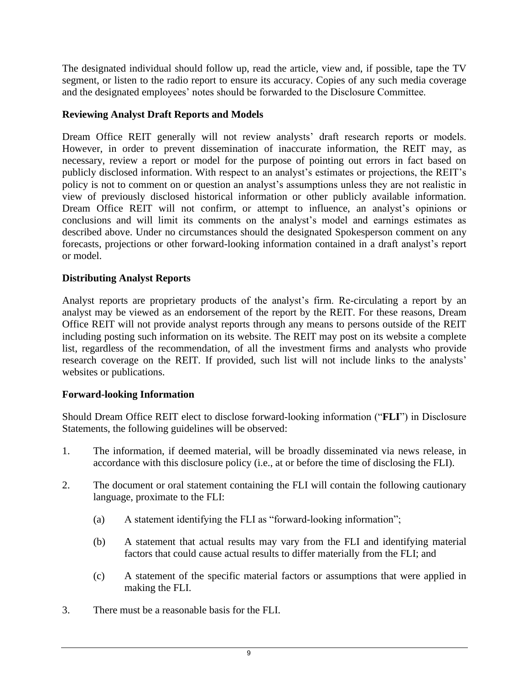The designated individual should follow up, read the article, view and, if possible, tape the TV segment, or listen to the radio report to ensure its accuracy. Copies of any such media coverage and the designated employees' notes should be forwarded to the Disclosure Committee.

### **Reviewing Analyst Draft Reports and Models**

Dream Office REIT generally will not review analysts' draft research reports or models. However, in order to prevent dissemination of inaccurate information, the REIT may, as necessary, review a report or model for the purpose of pointing out errors in fact based on publicly disclosed information. With respect to an analyst's estimates or projections, the REIT's policy is not to comment on or question an analyst's assumptions unless they are not realistic in view of previously disclosed historical information or other publicly available information. Dream Office REIT will not confirm, or attempt to influence, an analyst's opinions or conclusions and will limit its comments on the analyst's model and earnings estimates as described above. Under no circumstances should the designated Spokesperson comment on any forecasts, projections or other forward-looking information contained in a draft analyst's report or model.

### **Distributing Analyst Reports**

Analyst reports are proprietary products of the analyst's firm. Re-circulating a report by an analyst may be viewed as an endorsement of the report by the REIT. For these reasons, Dream Office REIT will not provide analyst reports through any means to persons outside of the REIT including posting such information on its website. The REIT may post on its website a complete list, regardless of the recommendation, of all the investment firms and analysts who provide research coverage on the REIT. If provided, such list will not include links to the analysts' websites or publications.

### **Forward-looking Information**

Should Dream Office REIT elect to disclose forward-looking information ("**FLI**") in Disclosure Statements, the following guidelines will be observed:

- 1. The information, if deemed material, will be broadly disseminated via news release, in accordance with this disclosure policy (i.e., at or before the time of disclosing the FLI).
- 2. The document or oral statement containing the FLI will contain the following cautionary language, proximate to the FLI:
	- (a) A statement identifying the FLI as "forward-looking information";
	- (b) A statement that actual results may vary from the FLI and identifying material factors that could cause actual results to differ materially from the FLI; and
	- (c) A statement of the specific material factors or assumptions that were applied in making the FLI.
- 3. There must be a reasonable basis for the FLI.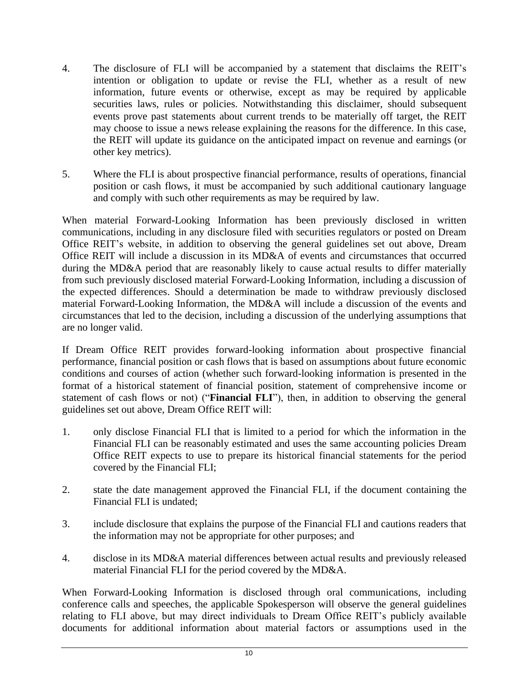- 4. The disclosure of FLI will be accompanied by a statement that disclaims the REIT's intention or obligation to update or revise the FLI, whether as a result of new information, future events or otherwise, except as may be required by applicable securities laws, rules or policies. Notwithstanding this disclaimer, should subsequent events prove past statements about current trends to be materially off target, the REIT may choose to issue a news release explaining the reasons for the difference. In this case, the REIT will update its guidance on the anticipated impact on revenue and earnings (or other key metrics).
- 5. Where the FLI is about prospective financial performance, results of operations, financial position or cash flows, it must be accompanied by such additional cautionary language and comply with such other requirements as may be required by law.

When material Forward-Looking Information has been previously disclosed in written communications, including in any disclosure filed with securities regulators or posted on Dream Office REIT's website, in addition to observing the general guidelines set out above, Dream Office REIT will include a discussion in its MD&A of events and circumstances that occurred during the MD&A period that are reasonably likely to cause actual results to differ materially from such previously disclosed material Forward-Looking Information, including a discussion of the expected differences. Should a determination be made to withdraw previously disclosed material Forward-Looking Information, the MD&A will include a discussion of the events and circumstances that led to the decision, including a discussion of the underlying assumptions that are no longer valid.

If Dream Office REIT provides forward-looking information about prospective financial performance, financial position or cash flows that is based on assumptions about future economic conditions and courses of action (whether such forward-looking information is presented in the format of a historical statement of financial position, statement of comprehensive income or statement of cash flows or not) ("**Financial FLI**"), then, in addition to observing the general guidelines set out above, Dream Office REIT will:

- 1. only disclose Financial FLI that is limited to a period for which the information in the Financial FLI can be reasonably estimated and uses the same accounting policies Dream Office REIT expects to use to prepare its historical financial statements for the period covered by the Financial FLI;
- 2. state the date management approved the Financial FLI, if the document containing the Financial FLI is undated;
- 3. include disclosure that explains the purpose of the Financial FLI and cautions readers that the information may not be appropriate for other purposes; and
- 4. disclose in its MD&A material differences between actual results and previously released material Financial FLI for the period covered by the MD&A.

When Forward-Looking Information is disclosed through oral communications, including conference calls and speeches, the applicable Spokesperson will observe the general guidelines relating to FLI above, but may direct individuals to Dream Office REIT's publicly available documents for additional information about material factors or assumptions used in the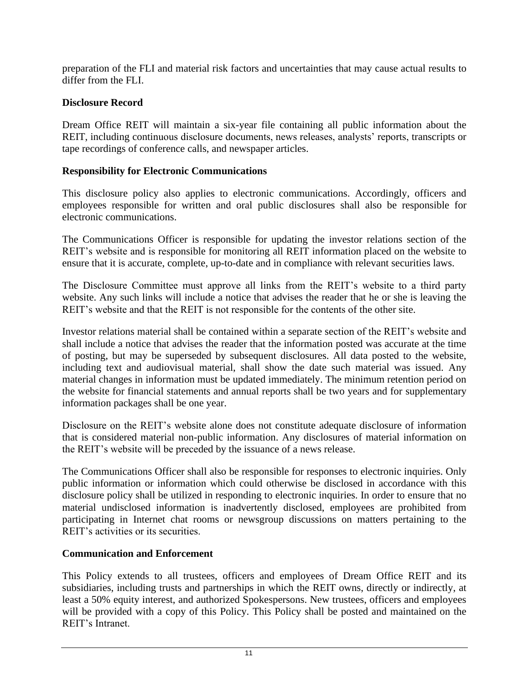preparation of the FLI and material risk factors and uncertainties that may cause actual results to differ from the FLI.

## **Disclosure Record**

Dream Office REIT will maintain a six-year file containing all public information about the REIT, including continuous disclosure documents, news releases, analysts' reports, transcripts or tape recordings of conference calls, and newspaper articles.

### **Responsibility for Electronic Communications**

This disclosure policy also applies to electronic communications. Accordingly, officers and employees responsible for written and oral public disclosures shall also be responsible for electronic communications.

The Communications Officer is responsible for updating the investor relations section of the REIT's website and is responsible for monitoring all REIT information placed on the website to ensure that it is accurate, complete, up-to-date and in compliance with relevant securities laws.

The Disclosure Committee must approve all links from the REIT's website to a third party website. Any such links will include a notice that advises the reader that he or she is leaving the REIT's website and that the REIT is not responsible for the contents of the other site.

Investor relations material shall be contained within a separate section of the REIT's website and shall include a notice that advises the reader that the information posted was accurate at the time of posting, but may be superseded by subsequent disclosures. All data posted to the website, including text and audiovisual material, shall show the date such material was issued. Any material changes in information must be updated immediately. The minimum retention period on the website for financial statements and annual reports shall be two years and for supplementary information packages shall be one year.

Disclosure on the REIT's website alone does not constitute adequate disclosure of information that is considered material non-public information. Any disclosures of material information on the REIT's website will be preceded by the issuance of a news release.

The Communications Officer shall also be responsible for responses to electronic inquiries. Only public information or information which could otherwise be disclosed in accordance with this disclosure policy shall be utilized in responding to electronic inquiries. In order to ensure that no material undisclosed information is inadvertently disclosed, employees are prohibited from participating in Internet chat rooms or newsgroup discussions on matters pertaining to the REIT's activities or its securities.

# **Communication and Enforcement**

This Policy extends to all trustees, officers and employees of Dream Office REIT and its subsidiaries, including trusts and partnerships in which the REIT owns, directly or indirectly, at least a 50% equity interest, and authorized Spokespersons. New trustees, officers and employees will be provided with a copy of this Policy. This Policy shall be posted and maintained on the REIT's Intranet.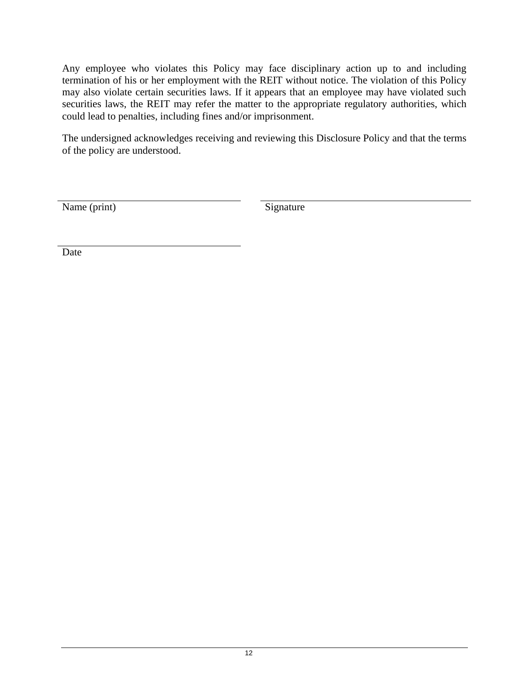Any employee who violates this Policy may face disciplinary action up to and including termination of his or her employment with the REIT without notice. The violation of this Policy may also violate certain securities laws. If it appears that an employee may have violated such securities laws, the REIT may refer the matter to the appropriate regulatory authorities, which could lead to penalties, including fines and/or imprisonment.

The undersigned acknowledges receiving and reviewing this Disclosure Policy and that the terms of the policy are understood.

Name (print) Signature

Date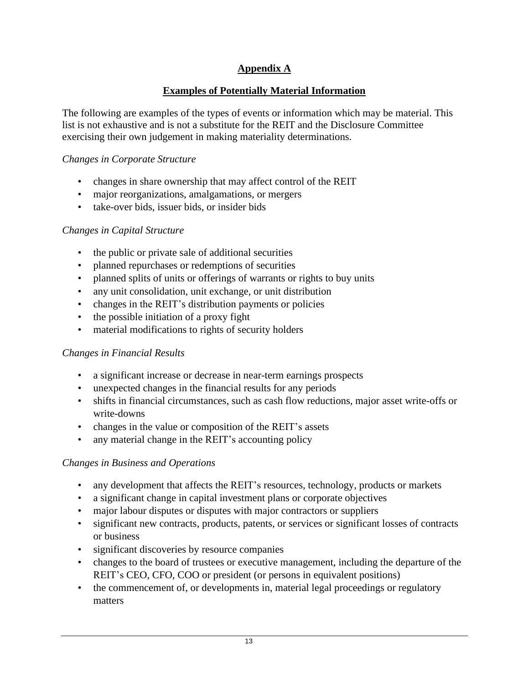# **Appendix A**

# **Examples of Potentially Material Information**

The following are examples of the types of events or information which may be material. This list is not exhaustive and is not a substitute for the REIT and the Disclosure Committee exercising their own judgement in making materiality determinations.

## *Changes in Corporate Structure*

- changes in share ownership that may affect control of the REIT
- major reorganizations, amalgamations, or mergers
- take-over bids, issuer bids, or insider bids

## *Changes in Capital Structure*

- the public or private sale of additional securities
- planned repurchases or redemptions of securities
- planned splits of units or offerings of warrants or rights to buy units
- any unit consolidation, unit exchange, or unit distribution
- changes in the REIT's distribution payments or policies
- the possible initiation of a proxy fight
- material modifications to rights of security holders

# *Changes in Financial Results*

- a significant increase or decrease in near-term earnings prospects
- unexpected changes in the financial results for any periods
- shifts in financial circumstances, such as cash flow reductions, major asset write-offs or write-downs
- changes in the value or composition of the REIT's assets
- any material change in the REIT's accounting policy

# *Changes in Business and Operations*

- any development that affects the REIT's resources, technology, products or markets
- a significant change in capital investment plans or corporate objectives
- major labour disputes or disputes with major contractors or suppliers
- significant new contracts, products, patents, or services or significant losses of contracts or business
- significant discoveries by resource companies
- changes to the board of trustees or executive management, including the departure of the REIT's CEO, CFO, COO or president (or persons in equivalent positions)
- the commencement of, or developments in, material legal proceedings or regulatory matters